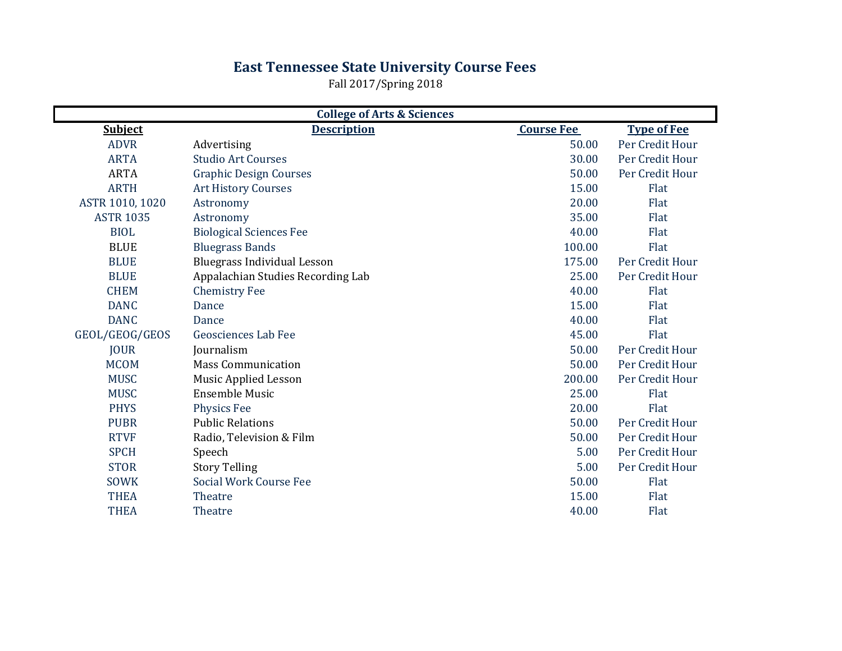## **East Tennessee State University Course Fees**

Fall 2017/Spring 2018

| <b>College of Arts &amp; Sciences</b> |                                    |                   |                    |  |
|---------------------------------------|------------------------------------|-------------------|--------------------|--|
| <b>Subject</b>                        | <b>Description</b>                 | <b>Course Fee</b> | <b>Type of Fee</b> |  |
| <b>ADVR</b>                           | Advertising                        | 50.00             | Per Credit Hour    |  |
| <b>ARTA</b>                           | <b>Studio Art Courses</b>          | 30.00             | Per Credit Hour    |  |
| <b>ARTA</b>                           | <b>Graphic Design Courses</b>      | 50.00             | Per Credit Hour    |  |
| <b>ARTH</b>                           | <b>Art History Courses</b>         | 15.00             | Flat               |  |
| ASTR 1010, 1020                       | Astronomy                          | 20.00             | Flat               |  |
| <b>ASTR 1035</b>                      | Astronomy                          | 35.00             | Flat               |  |
| <b>BIOL</b>                           | <b>Biological Sciences Fee</b>     | 40.00             | Flat               |  |
| <b>BLUE</b>                           | <b>Bluegrass Bands</b>             | 100.00            | Flat               |  |
| <b>BLUE</b>                           | <b>Bluegrass Individual Lesson</b> | 175.00            | Per Credit Hour    |  |
| <b>BLUE</b>                           | Appalachian Studies Recording Lab  | 25.00             | Per Credit Hour    |  |
| <b>CHEM</b>                           | <b>Chemistry Fee</b>               | 40.00             | Flat               |  |
| <b>DANC</b>                           | Dance                              | 15.00             | Flat               |  |
| <b>DANC</b>                           | Dance                              | 40.00             | Flat               |  |
| GEOL/GEOG/GEOS                        | Geosciences Lab Fee                | 45.00             | Flat               |  |
| <b>JOUR</b>                           | Journalism                         | 50.00             | Per Credit Hour    |  |
| <b>MCOM</b>                           | <b>Mass Communication</b>          | 50.00             | Per Credit Hour    |  |
| <b>MUSC</b>                           | Music Applied Lesson               | 200.00            | Per Credit Hour    |  |
| <b>MUSC</b>                           | <b>Ensemble Music</b>              | 25.00             | Flat               |  |
| <b>PHYS</b>                           | <b>Physics Fee</b>                 | 20.00             | Flat               |  |
| <b>PUBR</b>                           | <b>Public Relations</b>            | 50.00             | Per Credit Hour    |  |
| <b>RTVF</b>                           | Radio, Television & Film           | 50.00             | Per Credit Hour    |  |
| <b>SPCH</b>                           | Speech                             | 5.00              | Per Credit Hour    |  |
| <b>STOR</b>                           | <b>Story Telling</b>               | 5.00              | Per Credit Hour    |  |
| <b>SOWK</b>                           | <b>Social Work Course Fee</b>      | 50.00             | Flat               |  |
| <b>THEA</b>                           | Theatre                            | 15.00             | Flat               |  |
| <b>THEA</b>                           | Theatre                            | 40.00             | Flat               |  |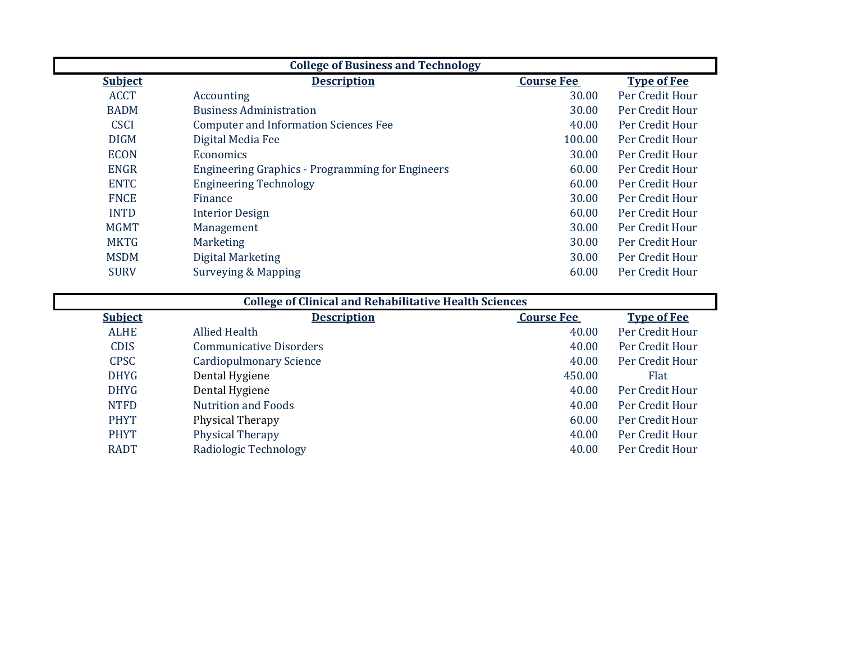| <b>College of Business and Technology</b> |                                                         |                   |                    |  |
|-------------------------------------------|---------------------------------------------------------|-------------------|--------------------|--|
| <b>Subject</b>                            | <b>Description</b>                                      | <b>Course Fee</b> | <b>Type of Fee</b> |  |
| <b>ACCT</b>                               | Accounting                                              | 30.00             | Per Credit Hour    |  |
| <b>BADM</b>                               | <b>Business Administration</b>                          | 30.00             | Per Credit Hour    |  |
| <b>CSCI</b>                               | <b>Computer and Information Sciences Fee</b>            | 40.00             | Per Credit Hour    |  |
| <b>DIGM</b>                               | Digital Media Fee                                       | 100.00            | Per Credit Hour    |  |
| <b>ECON</b>                               | <b>Economics</b>                                        | 30.00             | Per Credit Hour    |  |
| <b>ENGR</b>                               | <b>Engineering Graphics - Programming for Engineers</b> | 60.00             | Per Credit Hour    |  |
| <b>ENTC</b>                               | <b>Engineering Technology</b>                           | 60.00             | Per Credit Hour    |  |
| <b>FNCE</b>                               | Finance                                                 | 30.00             | Per Credit Hour    |  |
| <b>INTD</b>                               | <b>Interior Design</b>                                  | 60.00             | Per Credit Hour    |  |
| <b>MGMT</b>                               | Management                                              | 30.00             | Per Credit Hour    |  |
| <b>MKTG</b>                               | <b>Marketing</b>                                        | 30.00             | Per Credit Hour    |  |
| <b>MSDM</b>                               | Digital Marketing                                       | 30.00             | Per Credit Hour    |  |
| <b>SURV</b>                               | Surveying & Mapping                                     | 60.00             | Per Credit Hour    |  |

| <b>College of Clinical and Rehabilitative Health Sciences</b> |                                |                   |                    |  |
|---------------------------------------------------------------|--------------------------------|-------------------|--------------------|--|
| <b>Subject</b>                                                | <b>Description</b>             | <b>Course Fee</b> | <b>Type of Fee</b> |  |
| <b>ALHE</b>                                                   | Allied Health                  | 40.00             | Per Credit Hour    |  |
| <b>CDIS</b>                                                   | <b>Communicative Disorders</b> | 40.00             | Per Credit Hour    |  |
| <b>CPSC</b>                                                   | <b>Cardiopulmonary Science</b> | 40.00             | Per Credit Hour    |  |
| <b>DHYG</b>                                                   | Dental Hygiene                 | 450.00            | <b>Flat</b>        |  |
| <b>DHYG</b>                                                   | Dental Hygiene                 | 40.00             | Per Credit Hour    |  |
| <b>NTFD</b>                                                   | <b>Nutrition and Foods</b>     | 40.00             | Per Credit Hour    |  |
| <b>PHYT</b>                                                   | Physical Therapy               | 60.00             | Per Credit Hour    |  |
| <b>PHYT</b>                                                   | <b>Physical Therapy</b>        | 40.00             | Per Credit Hour    |  |
| <b>RADT</b>                                                   | Radiologic Technology          | 40.00             | Per Credit Hour    |  |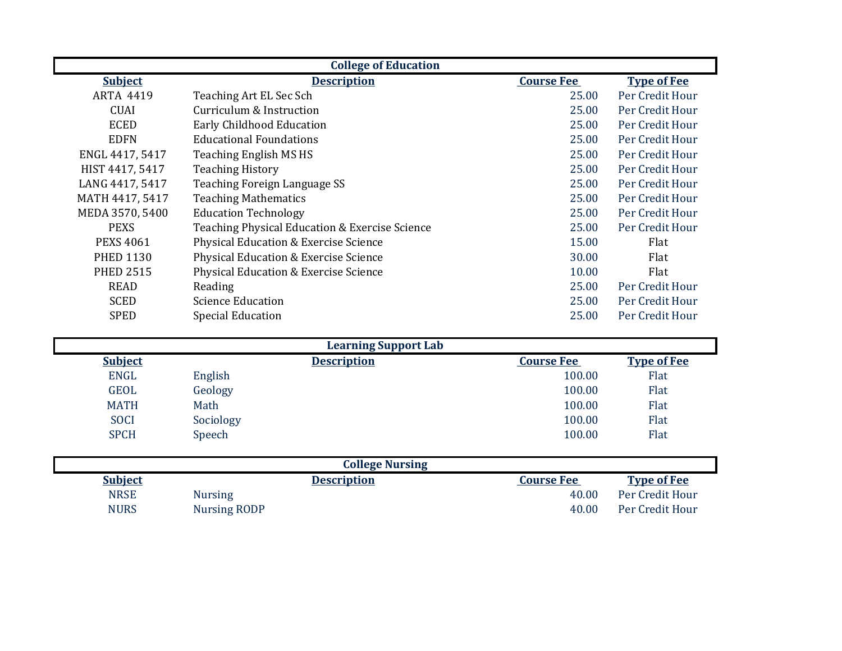| <b>College of Education</b> |                                                |                   |                    |  |
|-----------------------------|------------------------------------------------|-------------------|--------------------|--|
| <b>Subject</b>              | <b>Description</b>                             | <b>Course Fee</b> | <b>Type of Fee</b> |  |
| <b>ARTA 4419</b>            | Teaching Art EL Sec Sch                        | 25.00             | Per Credit Hour    |  |
| <b>CUAI</b>                 | Curriculum & Instruction                       | 25.00             | Per Credit Hour    |  |
| <b>ECED</b>                 | <b>Early Childhood Education</b>               | 25.00             | Per Credit Hour    |  |
| <b>EDFN</b>                 | <b>Educational Foundations</b>                 | 25.00             | Per Credit Hour    |  |
| ENGL 4417, 5417             | Teaching English MS HS                         | 25.00             | Per Credit Hour    |  |
| HIST 4417, 5417             | <b>Teaching History</b>                        | 25.00             | Per Credit Hour    |  |
| LANG 4417, 5417             | Teaching Foreign Language SS                   | 25.00             | Per Credit Hour    |  |
| MATH 4417, 5417             | <b>Teaching Mathematics</b>                    | 25.00             | Per Credit Hour    |  |
| MEDA 3570, 5400             | <b>Education Technology</b>                    | 25.00             | Per Credit Hour    |  |
| <b>PEXS</b>                 | Teaching Physical Education & Exercise Science | 25.00             | Per Credit Hour    |  |
| <b>PEXS 4061</b>            | Physical Education & Exercise Science          | 15.00             | Flat               |  |
| <b>PHED 1130</b>            | Physical Education & Exercise Science          | 30.00             | Flat               |  |
| <b>PHED 2515</b>            | Physical Education & Exercise Science          | 10.00             | Flat               |  |
| <b>READ</b>                 | Reading                                        | 25.00             | Per Credit Hour    |  |
| <b>SCED</b>                 | <b>Science Education</b>                       | 25.00             | Per Credit Hour    |  |
| <b>SPED</b>                 | <b>Special Education</b>                       | 25.00             | Per Credit Hour    |  |

|                |           | <b>Learning Support Lab</b> |                   |                    |
|----------------|-----------|-----------------------------|-------------------|--------------------|
| <b>Subject</b> |           | <b>Description</b>          | <b>Course Fee</b> | <b>Type of Fee</b> |
| <b>ENGL</b>    | English   |                             | 100.00            | Flat               |
| <b>GEOL</b>    | Geology   |                             | 100.00            | Flat               |
| <b>MATH</b>    | Math      |                             | 100.00            | Flat               |
| <b>SOCI</b>    | Sociology |                             | 100.00            | Flat               |
| <b>SPCH</b>    | Speech    |                             | 100.00            | Flat               |

|                |                | <b>College Nursing</b> |                   |                    |
|----------------|----------------|------------------------|-------------------|--------------------|
| <b>Subject</b> |                | <b>Description</b>     | <b>Course Fee</b> | <b>Type of Fee</b> |
| <b>NRSE</b>    | <b>Nursing</b> |                        | 40.00             | Per Credit Hour    |
| <b>NURS</b>    | Nursing RODP   |                        | 40.00             | Per Credit Hour    |